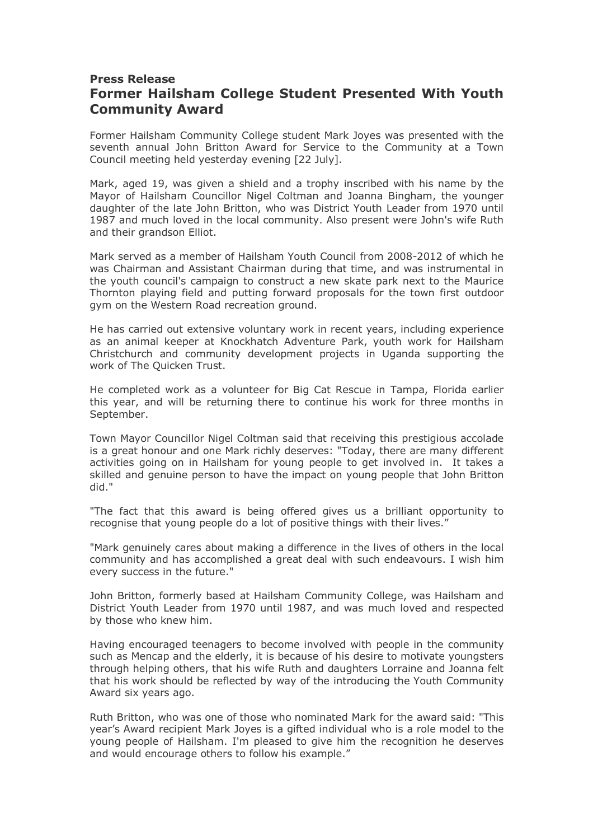## **Press Release Former Hailsham College Student Presented With Youth Community Award**

Former Hailsham Community College student Mark Joyes was presented with the seventh annual John Britton Award for Service to the Community at a Town Council meeting held yesterday evening [22 July].

Mark, aged 19, was given a shield and a trophy inscribed with his name by the Mayor of Hailsham Councillor Nigel Coltman and Joanna Bingham, the younger daughter of the late John Britton, who was District Youth Leader from 1970 until 1987 and much loved in the local community. Also present were John's wife Ruth and their grandson Elliot.

Mark served as a member of Hailsham Youth Council from 2008-2012 of which he was Chairman and Assistant Chairman during that time, and was instrumental in the youth council's campaign to construct a new skate park next to the Maurice Thornton playing field and putting forward proposals for the town first outdoor gym on the Western Road recreation ground.

He has carried out extensive voluntary work in recent years, including experience as an animal keeper at Knockhatch Adventure Park, youth work for Hailsham Christchurch and community development projects in Uganda supporting the work of The Quicken Trust.

He completed work as a volunteer for Big Cat Rescue in Tampa, Florida earlier this year, and will be returning there to continue his work for three months in September.

Town Mayor Councillor Nigel Coltman said that receiving this prestigious accolade is a great honour and one Mark richly deserves: "Today, there are many different activities going on in Hailsham for young people to get involved in. It takes a skilled and genuine person to have the impact on young people that John Britton did."

"The fact that this award is being offered gives us a brilliant opportunity to recognise that young people do a lot of positive things with their lives."

"Mark genuinely cares about making a difference in the lives of others in the local community and has accomplished a great deal with such endeavours. I wish him every success in the future."

John Britton, formerly based at Hailsham Community College, was Hailsham and District Youth Leader from 1970 until 1987, and was much loved and respected by those who knew him.

Having encouraged teenagers to become involved with people in the community such as Mencap and the elderly, it is because of his desire to motivate youngsters through helping others, that his wife Ruth and daughters Lorraine and Joanna felt that his work should be reflected by way of the introducing the Youth Community Award six years ago.

Ruth Britton, who was one of those who nominated Mark for the award said: "This year's Award recipient Mark Joyes is a gifted individual who is a role model to the young people of Hailsham. I'm pleased to give him the recognition he deserves and would encourage others to follow his example."